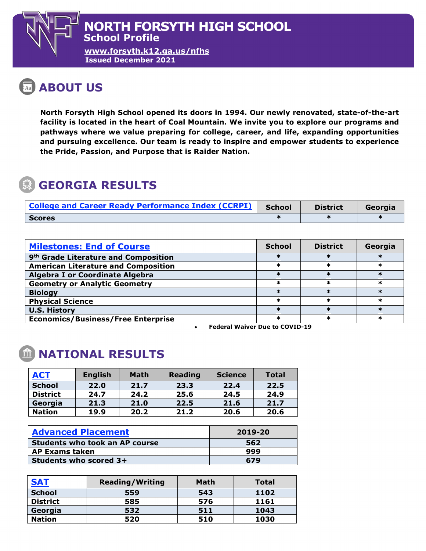**[www.forsyth.k12.ga.us/nfhs](http://www.forsyth.k12.ga.us/nfhs) Issued December 2021**

## **ABOUT US**

**North Forsyth High School opened its doors in 1994. Our newly renovated, state-of-the-art facility is located in the heart of Coal Mountain. We invite you to explore our programs and pathways where we value preparing for college, career, and life, expanding opportunities and pursuing excellence. Our team is ready to inspire and empower students to experience the Pride, Passion, and Purpose that is Raider Nation.**

## **GEORGIA RESULTS**

| <b>College and Career Ready Performance Index (CCRPI)</b> | <b>School</b> | <b>District</b> | Georgia |
|-----------------------------------------------------------|---------------|-----------------|---------|
| <b>Scores</b>                                             |               |                 |         |

| <b>Milestones: End of Course</b>                 | <b>School</b> | <b>District</b> | Georgia |
|--------------------------------------------------|---------------|-----------------|---------|
| 9 <sup>th</sup> Grade Literature and Composition |               |                 |         |
| <b>American Literature and Composition</b>       | ж             |                 |         |
| <b>Algebra I or Coordinate Algebra</b>           |               |                 |         |
| <b>Geometry or Analytic Geometry</b>             | ж             |                 | ж       |
| <b>Biology</b>                                   |               |                 |         |
| <b>Physical Science</b>                          |               | ж               |         |
| <b>U.S. History</b>                              |               |                 |         |
| <b>Economics/Business/Free Enterprise</b>        | ж             |                 |         |

• **Federal Waiver Due to COVID-19**

## **NATIONAL RESULTS**

| <b>ACT</b>      | <b>English</b> | <b>Math</b> | <b>Reading</b> | <b>Science</b> | <b>Total</b> |
|-----------------|----------------|-------------|----------------|----------------|--------------|
| <b>School</b>   | 22.0           | 21.7        | 23.3           | 22.4           | 22.5         |
| <b>District</b> | 24.7           | 24.2        | 25.6           | 24.5           | 24.9         |
| Georgia         | 21.3           | 21.0        | 22.5           | 21.6           | 21.7         |
| <b>Nation</b>   | 19.9           | 20.2        | 21.2           | 20.6           | 20.6         |

| <b>Advanced Placement</b>             | 2019-20 |
|---------------------------------------|---------|
| <b>Students who took an AP course</b> | 562     |
| <b>AP Exams taken</b>                 | 999     |
| Students who scored 3+                | 679     |

| <b>SAT</b>      | <b>Reading/Writing</b> | <b>Math</b> | <b>Total</b> |
|-----------------|------------------------|-------------|--------------|
| <b>School</b>   | 559                    | 543         | 1102         |
| <b>District</b> | 585                    | 576         | 1161         |
| Georgia         | 532                    | 511         | 1043         |
| <b>Nation</b>   | 520                    | 510         | 1030         |